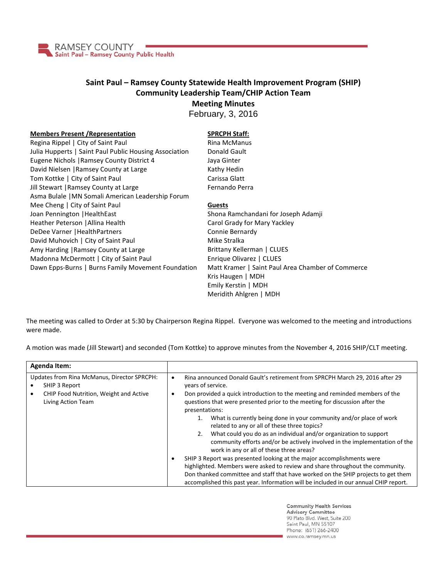

## **Saint Paul – Ramsey County Statewide Health Improvement Program (SHIP) Community Leadership Team/CHIP Action Team Meeting Minutes**

February, 3, 2016

| <b>Members Present / Representation</b>                | <b>SPRCPH Staff:</b>                              |
|--------------------------------------------------------|---------------------------------------------------|
| Regina Rippel   City of Saint Paul                     | <b>Rina McManus</b>                               |
| Julia Hupperts   Saint Paul Public Housing Association | Donald Gault                                      |
| Eugene Nichols   Ramsey County District 4              | Jaya Ginter                                       |
| David Nielsen   Ramsey County at Large                 | Kathy Hedin                                       |
| Tom Kottke   City of Saint Paul                        | Carissa Glatt                                     |
| Jill Stewart   Ramsey County at Large                  | Fernando Perra                                    |
| Asma Bulale   MN Somali American Leadership Forum      |                                                   |
| Mee Cheng   City of Saint Paul                         | <b>Guests</b>                                     |
| Joan Pennington   HealthEast                           | Shona Ramchandani for Joseph Adamii               |
| Heather Peterson   Allina Health                       | Carol Grady for Mary Yackley                      |
| DeDee Varner   Health Partners                         | Connie Bernardy                                   |
| David Muhovich   City of Saint Paul                    | Mike Stralka                                      |
| Amy Harding   Ramsey County at Large                   | Brittany Kellerman   CLUES                        |
| Madonna McDermott   City of Saint Paul                 | Enrique Olivarez   CLUES                          |
| Dawn Epps-Burns   Burns Family Movement Foundation     | Matt Kramer   Saint Paul Area Chamber of Commerce |
|                                                        | Kris Haugen   MDH                                 |
|                                                        | Emily Kerstin   MDH                               |

Meridith Ahlgren | MDH

The meeting was called to Order at 5:30 by Chairperson Regina Rippel. Everyone was welcomed to the meeting and introductions were made.

A motion was made (Jill Stewart) and seconded (Tom Kottke) to approve minutes from the November 4, 2016 SHIP/CLT meeting.

| Agenda Item:                                                                                                                 |                                                                                                                                                                                                                                                                                                                                                                                                                                                                                                                                                                                                                                                                                                                                                                                                                                                                                                                                                                           |
|------------------------------------------------------------------------------------------------------------------------------|---------------------------------------------------------------------------------------------------------------------------------------------------------------------------------------------------------------------------------------------------------------------------------------------------------------------------------------------------------------------------------------------------------------------------------------------------------------------------------------------------------------------------------------------------------------------------------------------------------------------------------------------------------------------------------------------------------------------------------------------------------------------------------------------------------------------------------------------------------------------------------------------------------------------------------------------------------------------------|
| Updates from Rina McManus, Director SPRCPH:<br>SHIP 3 Report<br>CHIP Food Nutrition, Weight and Active<br>Living Action Team | Rina announced Donald Gault's retirement from SPRCPH March 29, 2016 after 29<br>$\bullet$<br>vears of service.<br>Don provided a quick introduction to the meeting and reminded members of the<br>$\bullet$<br>questions that were presented prior to the meeting for discussion after the<br>presentations:<br>What is currently being done in your community and/or place of work<br>related to any or all of these three topics?<br>What could you do as an individual and/or organization to support<br>community efforts and/or be actively involved in the implementation of the<br>work in any or all of these three areas?<br>SHIP 3 Report was presented looking at the major accomplishments were<br>highlighted. Members were asked to review and share throughout the community.<br>Don thanked committee and staff that have worked on the SHIP projects to get them<br>accomplished this past year. Information will be included in our annual CHIP report. |

**Community Health Services Advisory Committee** 90 Plato Blvd. West, Suite 200 Saint Paul, MN 55107 Phone: (651) 266-2400 www.co.ramsey.mn.us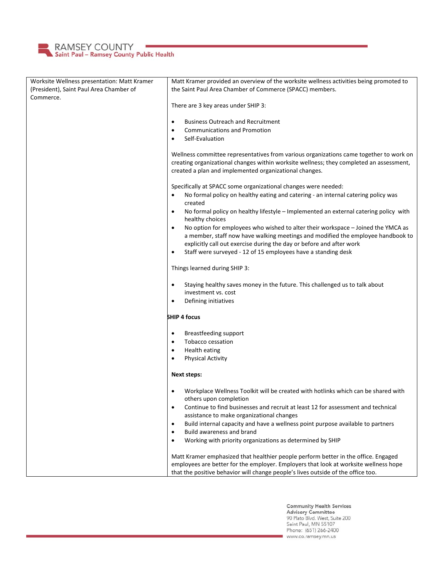

| Worksite Wellness presentation: Matt Kramer | Matt Kramer provided an overview of the worksite wellness activities being promoted to            |
|---------------------------------------------|---------------------------------------------------------------------------------------------------|
| (President), Saint Paul Area Chamber of     | the Saint Paul Area Chamber of Commerce (SPACC) members.                                          |
|                                             |                                                                                                   |
| Commerce.                                   |                                                                                                   |
|                                             | There are 3 key areas under SHIP 3:                                                               |
|                                             |                                                                                                   |
|                                             | <b>Business Outreach and Recruitment</b><br>$\bullet$                                             |
|                                             | <b>Communications and Promotion</b><br>$\bullet$                                                  |
|                                             | Self-Evaluation                                                                                   |
|                                             | $\bullet$                                                                                         |
|                                             |                                                                                                   |
|                                             | Wellness committee representatives from various organizations came together to work on            |
|                                             | creating organizational changes within worksite wellness; they completed an assessment,           |
|                                             | created a plan and implemented organizational changes.                                            |
|                                             |                                                                                                   |
|                                             | Specifically at SPACC some organizational changes were needed:                                    |
|                                             | No formal policy on healthy eating and catering - an internal catering policy was                 |
|                                             |                                                                                                   |
|                                             | created                                                                                           |
|                                             | No formal policy on healthy lifestyle – Implemented an external catering policy with<br>$\bullet$ |
|                                             | healthy choices                                                                                   |
|                                             | No option for employees who wished to alter their workspace - Joined the YMCA as<br>$\bullet$     |
|                                             | a member, staff now have walking meetings and modified the employee handbook to                   |
|                                             | explicitly call out exercise during the day or before and after work                              |
|                                             |                                                                                                   |
|                                             | Staff were surveyed - 12 of 15 employees have a standing desk<br>$\bullet$                        |
|                                             |                                                                                                   |
|                                             | Things learned during SHIP 3:                                                                     |
|                                             |                                                                                                   |
|                                             | Staying healthy saves money in the future. This challenged us to talk about                       |
|                                             | investment vs. cost                                                                               |
|                                             | Defining initiatives<br>$\bullet$                                                                 |
|                                             |                                                                                                   |
|                                             |                                                                                                   |
|                                             | <b>SHIP 4 focus</b>                                                                               |
|                                             |                                                                                                   |
|                                             | Breastfeeding support<br>$\bullet$                                                                |
|                                             | Tobacco cessation<br>$\bullet$                                                                    |
|                                             | Health eating<br>$\bullet$                                                                        |
|                                             | <b>Physical Activity</b><br>$\bullet$                                                             |
|                                             |                                                                                                   |
|                                             |                                                                                                   |
|                                             | <b>Next steps:</b>                                                                                |
|                                             |                                                                                                   |
|                                             | Workplace Wellness Toolkit will be created with hotlinks which can be shared with                 |
|                                             | others upon completion                                                                            |
|                                             | Continue to find businesses and recruit at least 12 for assessment and technical<br>$\bullet$     |
|                                             | assistance to make organizational changes                                                         |
|                                             | Build internal capacity and have a wellness point purpose available to partners<br>$\bullet$      |
|                                             |                                                                                                   |
|                                             | Build awareness and brand<br>$\bullet$                                                            |
|                                             | Working with priority organizations as determined by SHIP<br>$\bullet$                            |
|                                             |                                                                                                   |
|                                             | Matt Kramer emphasized that healthier people perform better in the office. Engaged                |
|                                             | employees are better for the employer. Employers that look at worksite wellness hope              |
|                                             | that the positive behavior will change people's lives outside of the office too.                  |

Community Health Services<br>Advisory Committee<br>90 Plato Blvd. West, Suite 200<br>Saint Paul, MN 55107<br>Phone: (651) 266-2400 www.co.ramsey.mn.us